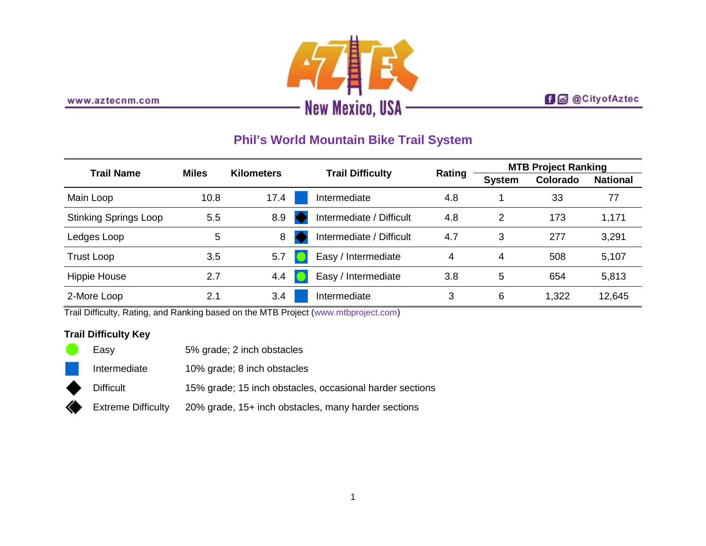

www.aztecnm.com

# **f d** @CityofAztec

# **Phil's World Mountain Bike Trail System**

| <b>Trail Name</b>            | <b>Miles</b> | <b>Kilometers</b> | <b>Trail Difficulty</b>  | Rating | <b>MTB Project Ranking</b> |          |                 |
|------------------------------|--------------|-------------------|--------------------------|--------|----------------------------|----------|-----------------|
|                              |              |                   |                          |        | <b>System</b>              | Colorado | <b>National</b> |
| Main Loop                    | 10.8         | 17.4              | Intermediate             | 4.8    |                            | 33       | 77              |
| <b>Stinking Springs Loop</b> | 5.5          | 8.9               | Intermediate / Difficult | 4.8    | 2                          | 173      | 1,171           |
| Ledges Loop                  | 5            | 8                 | Intermediate / Difficult | 4.7    | 3                          | 277      | 3,291           |
| Trust Loop                   | 3.5          | 5.7               | Easy / Intermediate      | 4      | 4                          | 508      | 5,107           |
| <b>Hippie House</b>          | 2.7          | 4.4               | Easy / Intermediate      | 3.8    | 5                          | 654      | 5,813           |
| 2-More Loop                  | 2.1          | 3.4               | Intermediate             | 3      | 6                          | 1,322    | 12,645          |

Trail Difficulty, Rating, and Ranking based on the MTB Project [\(www.mtbproject.com\)](http://www.mtbproject.com/)

# **Trail Difficulty Key**

|           | Easv               | 5% grade; 2 inch obstacles                               |
|-----------|--------------------|----------------------------------------------------------|
|           | Intermediate       | 10% grade; 8 inch obstacles                              |
| $\bullet$ | <b>Difficult</b>   | 15% grade; 15 inch obstacles, occasional harder sections |
|           | Extreme Difficulty | 20% grade, 15+ inch obstacles, many harder sections      |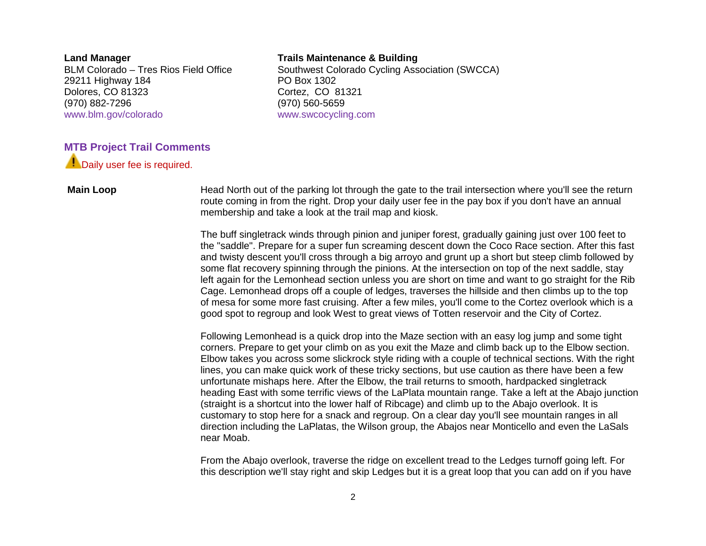**Land Manager**

BLM Colorado – Tres Rios Field Office 29211 Highway 184 Dolores, CO 81323 (970) 882-7296 [www.blm.gov/colorado](http://www.blm.gov/colorado)

### **Trails Maintenance & Building**

Southwest Colorado Cycling Association (SWCCA) PO Box 1302 Cortez, CO 81321 (970) 560-5659 [www.swcocycling.com](http://www.swcocycling.com/)

## **MTB Project Trail Comments**

**Daily user fee is required.** 

**Main Loop** Head North out of the parking lot through the gate to the trail intersection where you'll see the return route coming in from the right. Drop your daily user fee in the pay box if you don't have an annual membership and take a look at the trail map and kiosk.

> The buff singletrack winds through pinion and juniper forest, gradually gaining just over 100 feet to the "saddle". Prepare for a super fun screaming descent down the Coco Race section. After this fast and twisty descent you'll cross through a big arroyo and grunt up a short but steep climb followed by some flat recovery spinning through the pinions. At the intersection on top of the next saddle, stay left again for the Lemonhead section unless you are short on time and want to go straight for the Rib Cage. Lemonhead drops off a couple of ledges, traverses the hillside and then climbs up to the top of mesa for some more fast cruising. After a few miles, you'll come to the Cortez overlook which is a good spot to regroup and look West to great views of Totten reservoir and the City of Cortez.

> Following Lemonhead is a quick drop into the Maze section with an easy log jump and some tight corners. Prepare to get your climb on as you exit the Maze and climb back up to the Elbow section. Elbow takes you across some slickrock style riding with a couple of technical sections. With the right lines, you can make quick work of these tricky sections, but use caution as there have been a few unfortunate mishaps here. After the Elbow, the trail returns to smooth, hardpacked singletrack heading East with some terrific views of the LaPlata mountain range. Take a left at the Abajo junction (straight is a shortcut into the lower half of Ribcage) and climb up to the Abajo overlook. It is customary to stop here for a snack and regroup. On a clear day you'll see mountain ranges in all direction including the LaPlatas, the Wilson group, the Abajos near Monticello and even the LaSals near Moab.

From the Abajo overlook, traverse the ridge on excellent tread to the Ledges turnoff going left. For this description we'll stay right and skip Ledges but it is a great loop that you can add on if you have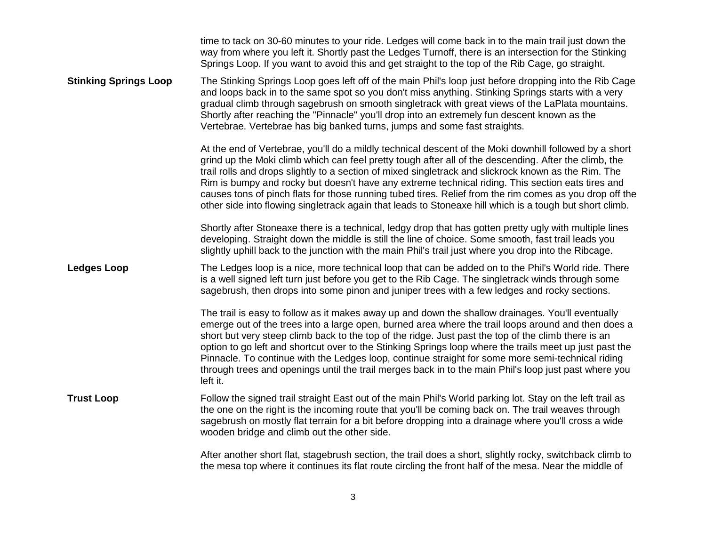|                              | time to tack on 30-60 minutes to your ride. Ledges will come back in to the main trail just down the<br>way from where you left it. Shortly past the Ledges Turnoff, there is an intersection for the Stinking<br>Springs Loop. If you want to avoid this and get straight to the top of the Rib Cage, go straight.                                                                                                                                                                                                                                                                                                                                  |
|------------------------------|------------------------------------------------------------------------------------------------------------------------------------------------------------------------------------------------------------------------------------------------------------------------------------------------------------------------------------------------------------------------------------------------------------------------------------------------------------------------------------------------------------------------------------------------------------------------------------------------------------------------------------------------------|
| <b>Stinking Springs Loop</b> | The Stinking Springs Loop goes left off of the main Phil's loop just before dropping into the Rib Cage<br>and loops back in to the same spot so you don't miss anything. Stinking Springs starts with a very<br>gradual climb through sagebrush on smooth singletrack with great views of the LaPlata mountains.<br>Shortly after reaching the "Pinnacle" you'll drop into an extremely fun descent known as the<br>Vertebrae. Vertebrae has big banked turns, jumps and some fast straights.                                                                                                                                                        |
|                              | At the end of Vertebrae, you'll do a mildly technical descent of the Moki downhill followed by a short<br>grind up the Moki climb which can feel pretty tough after all of the descending. After the climb, the<br>trail rolls and drops slightly to a section of mixed singletrack and slickrock known as the Rim. The<br>Rim is bumpy and rocky but doesn't have any extreme technical riding. This section eats tires and<br>causes tons of pinch flats for those running tubed tires. Relief from the rim comes as you drop off the<br>other side into flowing singletrack again that leads to Stoneaxe hill which is a tough but short climb.   |
|                              | Shortly after Stoneaxe there is a technical, ledgy drop that has gotten pretty ugly with multiple lines<br>developing. Straight down the middle is still the line of choice. Some smooth, fast trail leads you<br>slightly uphill back to the junction with the main Phil's trail just where you drop into the Ribcage.                                                                                                                                                                                                                                                                                                                              |
| <b>Ledges Loop</b>           | The Ledges loop is a nice, more technical loop that can be added on to the Phil's World ride. There<br>is a well signed left turn just before you get to the Rib Cage. The singletrack winds through some<br>sagebrush, then drops into some pinon and juniper trees with a few ledges and rocky sections.                                                                                                                                                                                                                                                                                                                                           |
|                              | The trail is easy to follow as it makes away up and down the shallow drainages. You'll eventually<br>emerge out of the trees into a large open, burned area where the trail loops around and then does a<br>short but very steep climb back to the top of the ridge. Just past the top of the climb there is an<br>option to go left and shortcut over to the Stinking Springs loop where the trails meet up just past the<br>Pinnacle. To continue with the Ledges loop, continue straight for some more semi-technical riding<br>through trees and openings until the trail merges back in to the main Phil's loop just past where you<br>left it. |
| <b>Trust Loop</b>            | Follow the signed trail straight East out of the main Phil's World parking lot. Stay on the left trail as<br>the one on the right is the incoming route that you'll be coming back on. The trail weaves through<br>sagebrush on mostly flat terrain for a bit before dropping into a drainage where you'll cross a wide<br>wooden bridge and climb out the other side.                                                                                                                                                                                                                                                                               |
|                              | After another short flat, stagebrush section, the trail does a short, slightly rocky, switchback climb to<br>the mesa top where it continues its flat route circling the front half of the mesa. Near the middle of                                                                                                                                                                                                                                                                                                                                                                                                                                  |